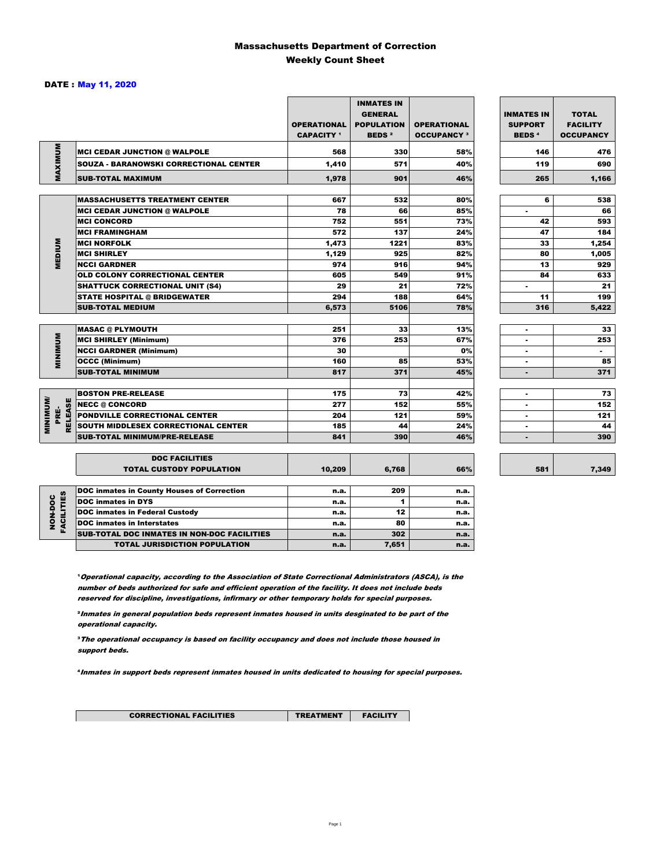### Massachusetts Department of Correction Weekly Count Sheet

#### DATE : May 11, 2020

|                        |                                                   | <b>OPERATIONAL</b><br><b>CAPACITY</b> 1 | <b>INMATES IN</b><br><b>GENERAL</b><br><b>POPULATION</b><br><b>BEDS<sup>2</sup></b> | <b>OPERATIONAL</b><br><b>OCCUPANCY 3</b> | <b>INMATES IN</b><br><b>SUPPORT</b><br><b>BEDS<sup>4</sup></b> | <b>TOTAL</b><br><b>FACILITY</b><br><b>OCCUPANCY</b> |
|------------------------|---------------------------------------------------|-----------------------------------------|-------------------------------------------------------------------------------------|------------------------------------------|----------------------------------------------------------------|-----------------------------------------------------|
| MAXIMUM                | <b>MCI CEDAR JUNCTION @ WALPOLE</b>               | 568                                     | 330                                                                                 | 58%                                      | 146                                                            | 476                                                 |
|                        | <b>SOUZA - BARANOWSKI CORRECTIONAL CENTER</b>     | 1,410                                   | 571                                                                                 | 40%                                      | 119                                                            | 690                                                 |
|                        | <b>SUB-TOTAL MAXIMUM</b>                          | 1,978                                   | 901                                                                                 | 46%                                      | 265                                                            | 1,166                                               |
|                        |                                                   |                                         |                                                                                     |                                          |                                                                |                                                     |
|                        | <b>MASSACHUSETTS TREATMENT CENTER</b>             | 667                                     | 532                                                                                 | 80%                                      | 6                                                              | 538                                                 |
|                        | <b>MCI CEDAR JUNCTION @ WALPOLE</b>               | 78                                      | 66                                                                                  | 85%                                      | ٠                                                              | 66                                                  |
|                        | <b>MCI CONCORD</b>                                | 752                                     | 551                                                                                 | 73%                                      | 42                                                             | 593                                                 |
|                        | <b>MCI FRAMINGHAM</b>                             | 572                                     | 137                                                                                 | 24%                                      | 47                                                             | 184                                                 |
|                        | <b>MCI NORFOLK</b>                                | 1,473                                   | 1221                                                                                | 83%                                      | 33                                                             | 1,254                                               |
| <b>MEDIUM</b>          | <b>MCI SHIRLEY</b>                                | 1,129                                   | 925                                                                                 | 82%                                      | 80                                                             | 1,005                                               |
|                        | <b>NCCI GARDNER</b>                               | 974                                     | 916                                                                                 | 94%                                      | 13                                                             | 929                                                 |
|                        | <b>OLD COLONY CORRECTIONAL CENTER</b>             | 605                                     | 549                                                                                 | 91%                                      | 84                                                             | 633                                                 |
|                        | <b>SHATTUCK CORRECTIONAL UNIT (S4)</b>            | 29                                      | 21                                                                                  | 72%                                      | $\overline{\phantom{a}}$                                       | 21                                                  |
|                        | <b>STATE HOSPITAL @ BRIDGEWATER</b>               | 294                                     | 188                                                                                 | 64%                                      | 11                                                             | 199                                                 |
|                        | <b>SUB-TOTAL MEDIUM</b>                           | 6,573                                   | 5106                                                                                | 78%                                      | 316                                                            | 5,422                                               |
|                        |                                                   |                                         |                                                                                     |                                          |                                                                |                                                     |
|                        | <b>MASAC @ PLYMOUTH</b>                           | 251                                     | 33                                                                                  | 13%                                      |                                                                | 33                                                  |
| <b>MINIMUM</b>         | <b>MCI SHIRLEY (Minimum)</b>                      | 376                                     | 253                                                                                 | 67%                                      |                                                                | 253                                                 |
|                        | <b>NCCI GARDNER (Minimum)</b>                     | 30                                      |                                                                                     | 0%                                       | ٠                                                              | $\sim$                                              |
|                        | <b>OCCC (Minimum)</b>                             | 160                                     | 85                                                                                  | 53%                                      | ٠                                                              | 85                                                  |
|                        | <b>SUB-TOTAL MINIMUM</b>                          | 817                                     | 371                                                                                 | 45%                                      | $\blacksquare$                                                 | 371                                                 |
|                        |                                                   |                                         |                                                                                     |                                          |                                                                |                                                     |
|                        | <b>BOSTON PRE-RELEASE</b>                         | 175                                     | 73                                                                                  | 42%                                      | $\blacksquare$                                                 | 73                                                  |
|                        | <b>NECC @ CONCORD</b>                             | 277                                     | 152                                                                                 | 55%                                      |                                                                | 152                                                 |
| <b>RELEASE</b><br>PRE- | PONDVILLE CORRECTIONAL CENTER                     | 204                                     | 121                                                                                 | 59%                                      | ٠                                                              | 121                                                 |
| <b>MINIMINI</b>        | SOUTH MIDDLESEX CORRECTIONAL CENTER               | 185                                     | 44                                                                                  | 24%                                      | ٠                                                              | 44                                                  |
|                        | <b>SUB-TOTAL MINIMUM/PRE-RELEASE</b>              | 841                                     | 390                                                                                 | 46%                                      | $\blacksquare$                                                 | 390                                                 |
|                        |                                                   |                                         |                                                                                     |                                          |                                                                |                                                     |
|                        | <b>DOC FACILITIES</b>                             |                                         |                                                                                     |                                          |                                                                |                                                     |
|                        | <b>TOTAL CUSTODY POPULATION</b>                   | 10,209                                  | 6,768                                                                               | 66%                                      | 581                                                            | 7,349                                               |
|                        | <b>DOC inmates in County Houses of Correction</b> | n.a.                                    | 209                                                                                 | n.a.                                     |                                                                |                                                     |
| <b>FACILITIES</b>      | <b>DOC inmates in DYS</b>                         | n.a.                                    | 1                                                                                   | n.a.                                     |                                                                |                                                     |
|                        | <b>DOC inmates in Federal Custody</b>             | n.a.                                    | 12                                                                                  | n.a.                                     |                                                                |                                                     |
| NON-DOC                | <b>DOC</b> inmates in Interstates                 | n.a.                                    | 80                                                                                  | n.a.                                     |                                                                |                                                     |
|                        | CUR TOTAL BOO INIAATEC IN NON BOO FAOILITIES      |                                         | 200                                                                                 |                                          |                                                                |                                                     |

**Operational capacity, according to the Association of State Correctional Administrators (ASCA), is the** number of beds authorized for safe and efficient operation of the facility. It does not include beds reserved for discipline, investigations, infirmary or other temporary holds for special purposes.

SUB-TOTAL DOC INMATES IN NON-DOC FACILITIES n.a. 302 n.a. TOTAL JURISDICTION POPULATION **n.a.** 7,651 n.a.

²Inmates in general population beds represent inmates housed in units desginated to be part of the operational capacity.

³The operational occupancy is based on facility occupancy and does not include those housed in support beds.

⁴Inmates in support beds represent inmates housed in units dedicated to housing for special purposes.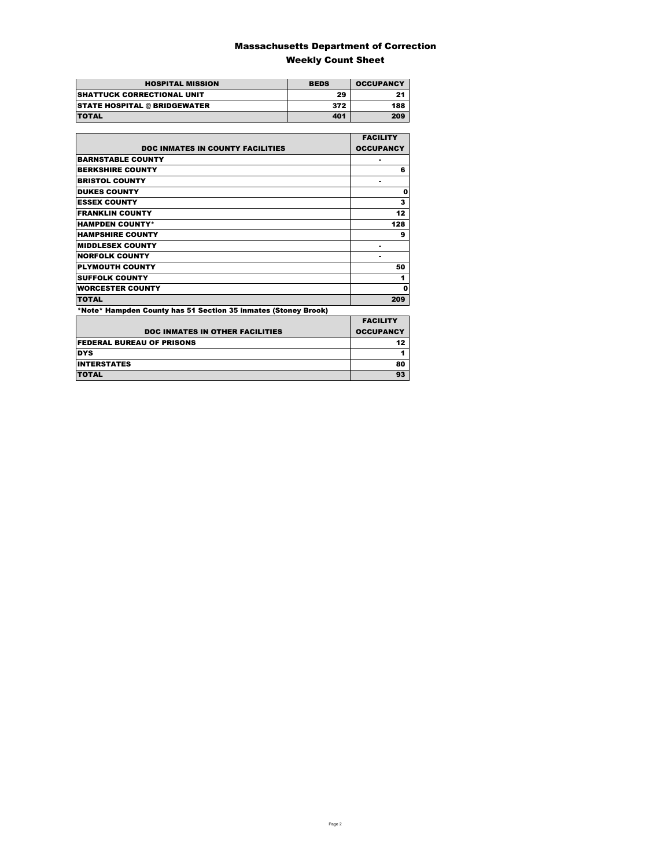### Massachusetts Department of Correction Weekly Count Sheet

| <b>HOSPITAL MISSION</b>             | <b>BEDS</b> | <b>OCCUPANCY</b> |
|-------------------------------------|-------------|------------------|
| <b>SHATTUCK CORRECTIONAL UNIT</b>   | 29          | 2.               |
| <b>STATE HOSPITAL @ BRIDGEWATER</b> | 372         | 188              |
| <b>TOTAL</b>                        | 401         | 209              |

|                                                                | <b>FACILITY</b>  |
|----------------------------------------------------------------|------------------|
| <b>DOC INMATES IN COUNTY FACILITIES</b>                        | <b>OCCUPANCY</b> |
| <b>BARNSTABLE COUNTY</b>                                       |                  |
| <b>BERKSHIRE COUNTY</b>                                        | 6                |
| <b>BRISTOL COUNTY</b>                                          |                  |
| <b>DUKES COUNTY</b>                                            | Ω                |
| <b>ESSEX COUNTY</b>                                            | 3                |
| <b>FRANKLIN COUNTY</b>                                         | 12               |
| <b>HAMPDEN COUNTY*</b>                                         | 128              |
| <b>HAMPSHIRE COUNTY</b>                                        | 9                |
| <b>MIDDLESEX COUNTY</b>                                        |                  |
| <b>NORFOLK COUNTY</b>                                          |                  |
| <b>PLYMOUTH COUNTY</b>                                         | 50               |
| <b>SUFFOLK COUNTY</b>                                          | 1                |
| <b>WORCESTER COUNTY</b>                                        | Ω                |
| <b>TOTAL</b>                                                   | 209              |
| *Note* Hampden County has 51 Section 35 inmates (Stoney Brook) |                  |
|                                                                | EACH ITV         |

| <b>DOC INMATES IN OTHER FACILITIES</b> | <b>FACILITY</b><br><b>OCCUPANCY</b> |
|----------------------------------------|-------------------------------------|
| <b>FEDERAL BUREAU OF PRISONS</b>       |                                     |
| <b>DYS</b>                             |                                     |
| <b>INTERSTATES</b>                     | 80                                  |
| <b>TOTAL</b>                           | 93                                  |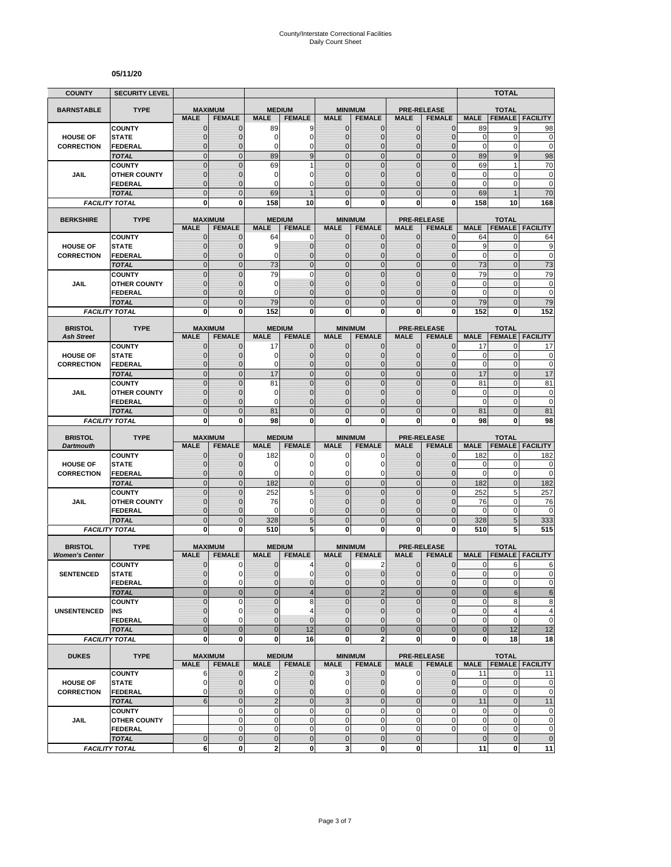#### **05/11/20**

| <b>COUNTY</b>         | <b>SECURITY LEVEL</b>                 |                                  |                                  |                              |                               |                                |                                  |                               |                                  |                    | <b>TOTAL</b>                   |                                                                                   |
|-----------------------|---------------------------------------|----------------------------------|----------------------------------|------------------------------|-------------------------------|--------------------------------|----------------------------------|-------------------------------|----------------------------------|--------------------|--------------------------------|-----------------------------------------------------------------------------------|
| <b>BARNSTABLE</b>     | <b>TYPE</b>                           |                                  | <b>MAXIMUM</b>                   | <b>MEDIUM</b>                |                               |                                | <b>MINIMUM</b>                   |                               | <b>PRE-RELEASE</b>               |                    | <b>TOTAL</b>                   |                                                                                   |
|                       |                                       | <b>MALE</b>                      | <b>FEMALE</b>                    | <b>MALE</b>                  | <b>FEMALE</b>                 | <b>MALE</b>                    | <b>FEMALE</b>                    | <b>MALE</b>                   | <b>FEMALE</b>                    | <b>MALE</b>        | <b>FEMALE</b>                  | <b>FACILITY</b>                                                                   |
|                       | <b>COUNTY</b>                         | $\mathbf 0$                      | $\mathbf{0}$                     | 89                           | 9                             | $\mathbf{0}$                   | 0                                | $\mathbf{0}$                  | $\overline{0}$                   | 89                 | 9                              | 98                                                                                |
| <b>HOUSE OF</b>       | <b>STATE</b>                          | $\overline{0}$                   | $\mathbf 0$                      | 0                            | $\mathbf 0$                   | $\overline{0}$                 | $\overline{0}$                   | $\mathbf 0$                   | $\overline{0}$                   | $\mathbf 0$        | 0                              | $\mathbf 0$                                                                       |
| <b>CORRECTION</b>     | <b>FEDERAL</b><br><b>TOTAL</b>        | 0<br>$\overline{0}$              | 0<br>$\overline{0}$              | 0<br>89                      | 0<br>9                        | 0<br>$\mathbf 0$               | $\mathbf 0$<br>$\mathbf 0$       | $\mathbf 0$<br>$\mathbf{0}$   | 0<br>$\mathbf 0$                 | $\pmb{0}$<br>89    | 0<br>9                         | $\mathbf 0$<br>98                                                                 |
|                       | <b>COUNTY</b>                         | $\overline{0}$                   | $\overline{0}$                   | 69                           | 1                             | $\Omega$                       | $\mathbf 0$                      | $\mathbf{0}$                  | $\overline{0}$                   | 69                 | 1                              | 70                                                                                |
| JAIL                  | <b>OTHER COUNTY</b>                   | $\mathbf{0}$                     | $\mathbf 0$                      | $\mathbf 0$                  | $\mathbf 0$                   | $\overline{0}$                 | $\overline{0}$                   | $\Omega$                      | $\overline{0}$                   | $\mathbf 0$        | 0                              | $\bf{0}$                                                                          |
|                       | <b>FEDERAL</b>                        | $\mathbf 0$                      | $\Omega$                         | $\Omega$                     | $\mathbf 0$                   | $\Omega$                       | $\overline{0}$                   | $\Omega$                      | $\overline{0}$                   | $\mathbf 0$        | 0                              | $\mathbf 0$                                                                       |
|                       | <b>TOTAL</b>                          | $\overline{0}$                   | $\Omega$                         | 69                           |                               | $\Omega$                       | $\overline{0}$                   | $\Omega$                      | $\overline{0}$                   | 69                 |                                | 70                                                                                |
|                       | <b>FACILITY TOTAL</b>                 | 0                                | $\bf{0}$                         | 158                          | 10                            | 0                              | 0                                | 0                             | 0                                | 158                | 10                             | 168                                                                               |
| <b>BERKSHIRE</b>      | <b>TYPE</b>                           |                                  | <b>MAXIMUM</b>                   |                              | <b>MEDIUM</b>                 |                                | <b>MINIMUM</b>                   |                               | <b>PRE-RELEASE</b>               |                    | <b>TOTAL</b>                   |                                                                                   |
|                       |                                       | <b>MALE</b>                      | <b>FEMALE</b>                    | <b>MALE</b>                  | <b>FEMALE</b>                 | <b>MALE</b>                    | <b>FEMALE</b>                    | <b>MALE</b>                   | <b>FEMALE</b>                    | <b>MALE</b>        | <b>FEMALE</b>                  | <b>FACILITY</b>                                                                   |
|                       | <b>COUNTY</b>                         | 0                                | $\mathbf 0$                      | 64                           | 0                             | 0                              | $\mathbf{0}$                     | $\mathbf{0}$                  | $\mathbf{0}$                     | 64                 | 0                              | 64                                                                                |
| <b>HOUSE OF</b>       | <b>STATE</b>                          | $\mathbf 0$                      | $\mathbf 0$                      | 9                            | $\mathbf 0$                   | $\mathbf{0}$                   | $\mathbf 0$                      | $\mathbf{0}$                  | $\overline{0}$                   | 9                  | 0                              | 9                                                                                 |
| <b>CORRECTION</b>     | <b>FEDERAL</b>                        | $\overline{0}$                   | $\mathbf 0$                      | 0                            | $\mathbf 0$                   | 0                              | $\overline{0}$                   | $\mathbf 0$                   | $\overline{0}$                   | $\mathbf 0$        | $\mathbf 0$                    | $\mathbf 0$                                                                       |
|                       | <b>TOTAL</b><br><b>COUNTY</b>         | $\overline{0}$<br>$\overline{0}$ | $\overline{0}$<br>$\overline{0}$ | 73<br>79                     | $\mathbf 0$<br>$\mathbf 0$    | $\mathbf 0$<br>$\mathbf 0$     | $\overline{0}$<br>$\overline{0}$ | $\mathbf{0}$<br>$\mathbf{0}$  | $\overline{0}$<br>$\overline{0}$ | 73<br>79           | $\overline{0}$<br>$\mathbf{0}$ | 73<br>79                                                                          |
| <b>JAIL</b>           | <b>OTHER COUNTY</b>                   | $\mathbf{0}$                     | $\mathbf 0$                      | 0                            | $\mathbf{0}$                  | $\Omega$                       | $\overline{0}$                   | $\Omega$                      | $\mathbf 0$                      | 0                  | $\mathbf{0}$                   | $\bf{0}$                                                                          |
|                       | <b>FEDERAL</b>                        | $\mathbf 0$                      | $\mathbf 0$                      | 0                            | $\mathbf{0}$                  | $\mathbf{0}$                   | $\mathbf 0$                      | $\mathbf{0}$                  | $\overline{0}$                   | $\mathbf 0$        | $\mathbf{0}$                   | $\mathbf 0$                                                                       |
|                       | <b>TOTAL</b>                          | $\mathbf 0$                      | $\overline{0}$                   | 79                           | $\mathbf 0$                   | $\overline{0}$                 | $\mathbf 0$                      | $\mathbf{0}$                  | $\mathbf 0$                      | 79                 | $\overline{0}$                 | 79                                                                                |
|                       | <b>FACILITY TOTAL</b>                 | 0                                | 0                                | 152                          | 0                             | $\mathbf{0}$                   | 0                                | $\bf{0}$                      | 0                                | 152                | 0                              | 152                                                                               |
| <b>BRISTOL</b>        | <b>TYPE</b>                           |                                  | <b>MAXIMUM</b>                   |                              |                               |                                |                                  |                               | <b>PRE-RELEASE</b>               |                    |                                |                                                                                   |
| <b>Ash Street</b>     |                                       | <b>MALE</b>                      | <b>FEMALE</b>                    | <b>MEDIUM</b><br><b>MALE</b> | <b>FEMALE</b>                 | <b>MALE</b>                    | <b>MINIMUM</b><br><b>FEMALE</b>  | <b>MALE</b>                   | <b>FEMALE</b>                    | <b>MALE</b>        | <b>TOTAL</b>                   | <b>FEMALE FACILITY</b>                                                            |
|                       | <b>COUNTY</b>                         | $\mathbf 0$                      | $\mathbf 0$                      | 17                           | $\mathbf{0}$                  | $\mathbf{0}$                   | 0                                | $\mathbf{0}$                  | 0                                | 17                 | 0                              | 17                                                                                |
| <b>HOUSE OF</b>       | <b>STATE</b>                          | $\overline{0}$                   | $\mathbf 0$                      | 0                            | $\mathbf 0$                   | $\Omega$                       | $\mathbf{0}$                     | $\mathbf{0}$                  | $\overline{0}$                   | 0                  | 0                              | $\pmb{0}$                                                                         |
| <b>CORRECTION</b>     | <b>FEDERAL</b>                        | 0                                | $\mathbf 0$                      | $\Omega$                     | $\mathbf 0$                   | $\Omega$                       | $\mathbf 0$                      | $\mathbf{0}$                  | $\overline{0}$                   | $\mathbf 0$        | $\mathbf{0}$                   | $\mathbf 0$                                                                       |
|                       | <b>TOTAL</b>                          | $\overline{0}$                   | $\Omega$                         | 17                           | $\overline{0}$                | $\overline{0}$                 | $\overline{0}$                   | $\mathbf{0}$                  | $\overline{0}$                   | 17                 | $\overline{0}$                 | 17                                                                                |
|                       | <b>COUNTY</b>                         | $\overline{0}$<br>$\mathbf 0$    | $\Omega$<br>$\mathbf 0$          | 81<br>0                      | $\overline{0}$<br>$\mathbf 0$ | $\overline{0}$<br>$\mathbf{0}$ | $\overline{0}$<br>$\mathbf 0$    | $\Omega$<br>$\mathbf 0$       | $\overline{0}$<br>0              | 81<br>$\mathbf 0$  | $\overline{0}$<br>$\mathbf{0}$ | 81<br>$\mathbf 0$                                                                 |
| JAIL                  | <b>OTHER COUNTY</b><br><b>FEDERAL</b> | $\overline{0}$                   | $\mathbf 0$                      | $\Omega$                     | $\overline{0}$                | $\Omega$                       | 0                                | $\Omega$                      |                                  | $\mathbf 0$        | 0                              | $\mathbf 0$                                                                       |
|                       | <b>TOTAL</b>                          | $\overline{0}$                   | $\mathbf{0}$                     | 81                           | $\mathbf 0$                   | $\mathbf{0}$                   | $\overline{0}$                   | $\Omega$                      | $\overline{0}$                   | 81                 | $\overline{0}$                 | 81                                                                                |
|                       |                                       |                                  |                                  |                              |                               |                                |                                  |                               |                                  |                    |                                |                                                                                   |
|                       | <b>FACILITY TOTAL</b>                 | 0                                | 0                                | 98                           | 0                             | $\mathbf{0}$                   | 0                                | 0                             | 0                                | 98                 | 0                              | 98                                                                                |
|                       |                                       |                                  |                                  |                              |                               |                                |                                  |                               |                                  |                    |                                |                                                                                   |
| <b>BRISTOL</b>        | <b>TYPE</b>                           |                                  | <b>MAXIMUM</b>                   | <b>MEDIUM</b>                |                               |                                | <b>MINIMUM</b>                   |                               | <b>PRE-RELEASE</b>               |                    | <b>TOTAL</b>                   |                                                                                   |
| <b>Dartmouth</b>      | <b>COUNTY</b>                         | <b>MALE</b><br>$\mathbf 0$       | <b>FEMALE</b><br>$\mathbf 0$     | <b>MALE</b><br>182           | <b>FEMALE</b><br>0            | <b>MALE</b><br>0               | <b>FEMALE</b><br>0               | <b>MALE</b><br>$\mathbf{0}$   | <b>FEMALE</b><br>$\overline{0}$  | <b>MALE</b><br>182 | <b>FEMALE</b><br>0             | <b>FACILITY</b><br>182                                                            |
| <b>HOUSE OF</b>       | <b>STATE</b>                          | $\overline{0}$                   | $\Omega$                         | 0                            | $\mathbf 0$                   | $\Omega$                       | 0                                | $\Omega$                      | $\mathbf 0$                      | 0                  | $\pmb{0}$                      | 0                                                                                 |
| <b>CORRECTION</b>     | <b>FEDERAL</b>                        | $\overline{0}$                   | $\mathbf{0}$                     | $\mathbf 0$                  | 0                             | 0                              | 0                                | $\mathbf{0}$                  | $\overline{0}$                   | $\mathbf 0$        | $\mathbf 0$                    |                                                                                   |
|                       | <b>TOTAL</b>                          | $\overline{0}$                   | $\mathbf{0}$                     | 182                          | $\overline{0}$                | $\overline{0}$                 | $\mathbf 0$                      | $\mathbf{0}$                  | $\mathbf 0$                      | 182                | $\mathbf 0$                    | 182                                                                               |
|                       | <b>COUNTY</b>                         | $\mathbf 0$                      | $\mathbf{0}$                     | 252                          | 5                             | $\mathbf{0}$                   | $\mathbf 0$                      | $\mathbf{0}$                  | $\mathbf 0$                      | 252                | 5                              | 257                                                                               |
| JAIL                  | <b>OTHER COUNTY</b>                   | $\overline{0}$                   | $\mathbf 0$                      | 76                           | $\mathbf 0$                   | $\overline{0}$                 | $\overline{0}$                   | $\Omega$                      | $\overline{0}$                   | 76                 | 0                              | 76                                                                                |
|                       | <b>FEDERAL</b><br><b>TOTAL</b>        | $\mathbf 0$<br>$\mathbf 0$       | $\mathbf 0$<br>$\overline{0}$    | 0<br>328                     | $\mathbf 0$                   | $\mathbf{0}$<br>$\overline{0}$ | $\mathbf 0$<br>$\mathbf 0$       | $\mathbf{0}$<br>$\mathbf{0}$  | 0<br>$\mathbf 0$                 | 0<br>328           | 0<br>5                         | $\mathbf 0$                                                                       |
|                       | <b>FACILITY TOTAL</b>                 | O                                | 0                                | 510                          | 5<br>5                        | 0                              | $\bf{0}$                         | 0                             | 0                                | 510                | 5                              | 333<br>515                                                                        |
|                       |                                       |                                  |                                  |                              |                               |                                |                                  |                               |                                  |                    |                                |                                                                                   |
| <b>BRISTOL</b>        | <b>TYPE</b>                           |                                  | <b>MAXIMUM</b>                   | <b>MEDIUM</b>                |                               |                                | <b>MINIMUM</b>                   |                               | <b>PRE-RELEASE</b>               |                    | <b>TOTAL</b>                   |                                                                                   |
| <b>Women's Center</b> |                                       | <b>MALE</b>                      | <b>FEMALE</b>                    | <b>MALE</b>                  | <b>FEMALE</b>                 | <b>MALE</b>                    | <b>FEMALE</b>                    | <b>MALE</b>                   | <b>FEMALE</b>                    | <b>MALE</b>        | <b>FEMALE</b>                  | <b>FACILITY</b>                                                                   |
| <b>SENTENCED</b>      | <b>COUNTY</b>                         | $\mathbf 0$<br>$\overline{0}$    | 0<br>0                           | 0<br>$\overline{0}$          | 4<br>$\mathbf 0$              | $\mathbf 0$<br>$\Omega$        | 2<br>$\mathbf 0$                 | $\mathbf 0$<br>$\mathbf{0}$   | $\mathbf 0$<br>$\mathbf 0$       | 0<br>$\mathbf{0}$  | 6<br>$\overline{0}$            | 6                                                                                 |
|                       | <b>STATE</b><br><b>FEDERAL</b>        | $\mathbf{0}$                     | 0                                | 0                            | 0                             | $\mathbf 0$                    | 0                                | $\mathbf 0$                   | 0                                | $\pmb{0}$          | $\mathbf 0$                    |                                                                                   |
|                       | <b>TOTAL</b>                          | $\overline{0}$                   | $\mathbf{0}$                     | $\mathbf 0$                  | $\overline{\mathbf{4}}$       | $\overline{0}$                 | $\overline{2}$                   | $\mathbf{0}$                  | $\mathbf 0$                      | $\bf 0$            | $\mathbf 6$                    |                                                                                   |
|                       | <b>COUNTY</b>                         | $\overline{0}$                   | $\mathbf 0$                      | $\overline{0}$               | 8                             | $\Omega$                       | $\overline{0}$                   | $\mathbf{0}$                  | $\mathbf 0$                      | $\pmb{0}$          | 8                              |                                                                                   |
| <b>UNSENTENCED</b>    | INS                                   | $\mathbf 0$                      | 0                                | $\pmb{0}$                    | $\overline{4}$                | $\mathbf 0$                    | 0                                | $\mathbf{0}$                  | 0                                | $\pmb{0}$          | 4                              |                                                                                   |
|                       | <b>FEDERAL</b>                        | $\overline{0}$                   | $\Omega$                         | $\overline{0}$               | $\mathbf{0}$                  | $\Omega$                       | $\overline{0}$                   | $\mathbf{0}$                  | $\overline{0}$                   | $\pmb{0}$          | 0                              |                                                                                   |
|                       | <b>TOTAL</b>                          | $\overline{0}$<br>0              | $\overline{0}$<br>0              | $\overline{0}$<br>$\bf{0}$   | 12<br>16                      | $\overline{0}$                 | $\overline{0}$                   | $\overline{0}$<br>$\mathbf 0$ | $\mathbf 0$<br>0                 | $\bf 0$            | 12<br>18                       |                                                                                   |
|                       | <b>FACILITY TOTAL</b>                 |                                  |                                  |                              |                               | $\mathbf 0$                    | $\overline{\mathbf{2}}$          |                               |                                  | 0                  |                                | $\mathbf 0$<br>0<br>$\pmb{0}$<br>$\,6$<br>8<br>4<br>$\mathbf 0$<br>12<br>18       |
| <b>DUKES</b>          | <b>TYPE</b>                           |                                  | <b>MAXIMUM</b>                   |                              | <b>MEDIUM</b>                 |                                | <b>MINIMUM</b>                   |                               | <b>PRE-RELEASE</b>               |                    | <b>TOTAL</b>                   |                                                                                   |
|                       |                                       | <b>MALE</b>                      | <b>FEMALE</b>                    | <b>MALE</b>                  | <b>FEMALE</b>                 | <b>MALE</b>                    | <b>FEMALE</b>                    | <b>MALE</b>                   | <b>FEMALE</b>                    | <b>MALE</b>        |                                | <b>FEMALE   FACILITY</b>                                                          |
| <b>HOUSE OF</b>       | <b>COUNTY</b><br><b>STATE</b>         | 6<br>0                           | $\mathbf 0$<br>$\mathbf{0}$      | 2<br>$\mathbf 0$             | $\mathbf{0}$<br>$\mathbf 0$   | 3<br>$\overline{0}$            | $\mathbf{0}$<br>0                | $\mathbf 0$<br>0              | $\mathbf 0$<br>$\mathbf 0$       | 11<br>0            | $\mathbf{0}$<br>0              | 11                                                                                |
| <b>CORRECTION</b>     | FEDERAL                               | 0                                | $\mathbf 0$                      | 0                            | $\mathbf 0$                   | $\mathbf 0$                    | $\overline{0}$                   | $\mathbf 0$                   | $\overline{0}$                   | $\pmb{0}$          | 0                              |                                                                                   |
|                       | <b>TOTAL</b>                          | 6                                | $\mathbf 0$                      | $\sqrt{2}$                   | $\mathbf 0$                   | $\overline{3}$                 | $\mathbf 0$                      | $\mathbf 0$                   | $\mathbf 0$                      | 11                 | $\mathbf 0$                    | 11                                                                                |
|                       | <b>COUNTY</b>                         |                                  | $\mathbf{0}$                     | $\mathbf 0$                  | $\mathbf{0}$                  | $\mathbf 0$                    | 0                                | $\mathbf 0$                   | 0                                | 0                  | 0                              |                                                                                   |
| JAIL                  | <b>OTHER COUNTY</b>                   |                                  | $\mathbf 0$                      | $\mathbf{0}$                 | $\mathbf{0}$                  | $\overline{0}$                 | $\mathbf 0$                      | $\overline{0}$                | 0                                | $\mathbf 0$        | $\overline{0}$                 |                                                                                   |
|                       | <b>FEDERAL</b><br><b>TOTAL</b>        | $\mathbf{0}$                     | $\mathbf 0$<br>$\mathbf{0}$      | $\mathbf 0$<br>$\pmb{0}$     | $\pmb{0}$<br>$\pmb{0}$        | $\overline{0}$<br>$\mathbf 0$  | 0<br>$\mathbf 0$                 | $\mathbf 0$<br>$\mathbf 0$    | 0                                | 0<br>$\pmb{0}$     | $\mathbf 0$<br>$\mathbf 0$     | $\pmb{0}$<br>$\mathbf 0$<br>$\pmb{0}$<br>$\overline{0}$<br>$\pmb{0}$<br>$\pmb{0}$ |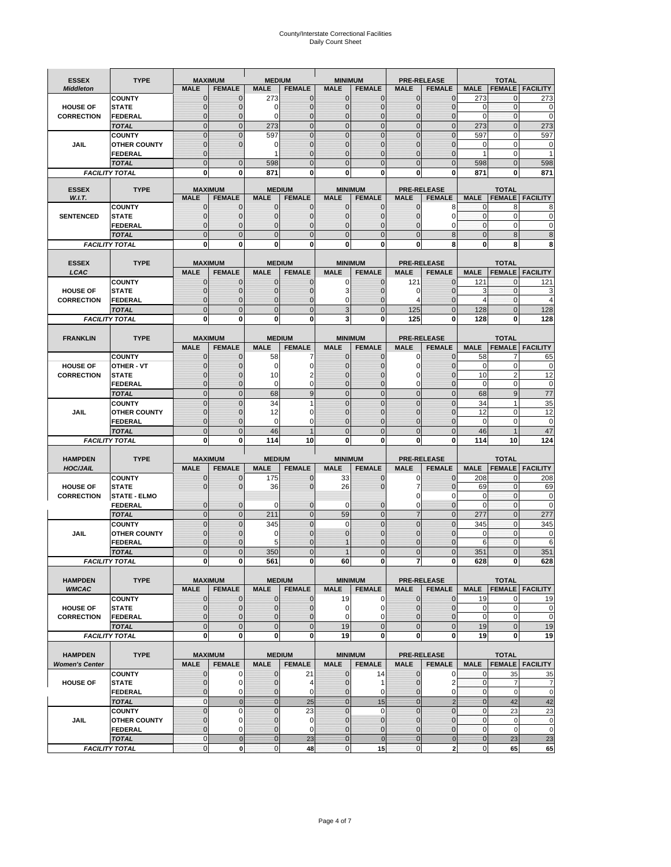# County/Interstate Correctional Facilities Daily Count Sheet

| <b>ESSEX</b>          | <b>TYPE</b>                           |                               | <b>MAXIMUM</b>                 | <b>MEDIUM</b>                    |                                | <b>MINIMUM</b>                 |                            |                               | <b>PRE-RELEASE</b>                  |                               | <b>TOTAL</b>                           |                          |
|-----------------------|---------------------------------------|-------------------------------|--------------------------------|----------------------------------|--------------------------------|--------------------------------|----------------------------|-------------------------------|-------------------------------------|-------------------------------|----------------------------------------|--------------------------|
| <b>Middleton</b>      |                                       | <b>MALE</b>                   | <b>FEMALE</b>                  | <b>MALE</b>                      | <b>FEMALE</b>                  | <b>MALE</b>                    | <b>FEMALE</b>              | MALE                          | <b>FEMALE</b>                       | <b>MALE</b>                   | <b>FEMALE</b>                          | <b>FACILITY</b>          |
|                       | <b>COUNTY</b>                         | 0                             | 0                              | 273                              | 0                              | $\mathbf 0$                    | $\mathbf{0}$               | $\mathbf{0}$                  | $\Omega$                            | 273                           | 0                                      | 273                      |
| <b>HOUSE OF</b>       | <b>STATE</b>                          | 0                             | $\mathbf 0$                    | $\Omega$                         | 0                              | $\mathbf{0}$                   | $\Omega$                   | $\mathbf 0$                   | $\Omega$                            | $\Omega$                      | $\Omega$                               | 0                        |
| <b>CORRECTION</b>     | <b>FEDERAL</b>                        | 0                             | $\mathbf 0$                    | 0                                | 0                              | $\mathbf{0}$                   | $\mathbf 0$                | $\mathbf{0}$                  | $\mathbf 0$                         | $\mathbf 0$                   | $\mathbf{0}$                           | $\mathbf 0$              |
|                       | <b>TOTAL</b><br><b>COUNTY</b>         | $\overline{0}$<br>$\mathbf 0$ | $\mathbf{0}$<br>$\overline{0}$ | 273<br>597                       | $\mathbf 0$<br>$\overline{0}$  | $\mathbf 0$<br>$\mathbf{0}$    | $\overline{0}$<br>$\Omega$ | $\mathbf 0$<br>$\mathbf 0$    | $\overline{0}$<br>$\Omega$          | 273<br>597                    | $\mathbf{0}$<br>$\mathbf 0$            | 273<br>597               |
| JAIL                  | <b>OTHER COUNTY</b>                   | $\mathbf 0$                   | $\overline{0}$                 | 0                                | 0                              | $\mathbf{0}$                   | $\mathbf{0}$               | $\mathbf 0$                   | ſ                                   | 0                             | $\mathbf 0$                            | 0                        |
|                       | <b>FEDERAL</b>                        | $\mathbf{0}$                  |                                |                                  | $\Omega$                       | $\mathbf{0}$                   | $\Omega$                   | $\mathbf{0}$                  | $\mathbf 0$                         | 1                             | $\mathbf 0$                            |                          |
|                       | <b>TOTAL</b>                          | $\overline{0}$                | $\mathbf 0$                    | 598                              | $\Omega$                       | $\Omega$                       | $\Omega$                   | $\overline{0}$                | $\Omega$                            | 598                           | $\Omega$                               | 598                      |
|                       | <b>FACILITY TOTAL</b>                 | 0                             | 0                              | 871                              | O                              | $\bf{0}$                       | 0                          | 0                             | 0                                   | 871                           | 0                                      | 871                      |
| <b>ESSEX</b>          | <b>TYPE</b>                           |                               | <b>MAXIMUM</b>                 |                                  |                                |                                | <b>MINIMUM</b>             |                               |                                     |                               |                                        |                          |
| W.I.T.                |                                       | <b>MALE</b>                   | <b>FEMALE</b>                  | <b>MALE</b>                      | <b>MEDIUM</b><br><b>FEMALE</b> | <b>MALE</b>                    | <b>FEMALE</b>              | <b>MALE</b>                   | <b>PRE-RELEASE</b><br><b>FEMALE</b> | <b>MALE</b>                   | <b>TOTAL</b><br><b>FEMALE</b>          | <b>FACILITY</b>          |
|                       | <b>COUNTY</b>                         | $\mathbf{0}$                  | 0                              | $\mathbf 0$                      | $\mathbf 0$                    | $\mathbf 0$                    | $\mathbf{0}$               | $\mathbf 0$                   | 8                                   | 0                             | 8                                      | 8                        |
| <b>SENTENCED</b>      | <b>STATE</b>                          | 0                             | $\mathbf 0$                    | $\mathbf{0}$                     | $\overline{0}$                 | $\mathbf{0}$                   | $\mathbf{0}$               | 0                             | $\Omega$                            | $\mathbf 0$                   | $\mathbf 0$                            | 0                        |
|                       | <b>FEDERAL</b>                        | $\overline{0}$                | $\mathbf 0$                    | $\mathbf{0}$                     | 0                              | $\mathbf{0}$                   | 0                          | $\mathbf 0$                   | 0                                   | $\mathbf{0}$                  | $\mathbf 0$                            | 0                        |
|                       | <b>TOTAL</b>                          | $\overline{0}$                | $\overline{0}$                 | $\mathbf{0}$                     | $\overline{0}$                 | $\mathbf{0}$                   | $\overline{0}$             | $\overline{0}$                | 8                                   | $\mathbf{0}$                  | 8                                      | 8                        |
|                       | <b>FACILITY TOTAL</b>                 | 0                             | 0                              | $\bf{0}$                         | O                              | $\bf{0}$                       | $\mathbf{0}$               | 0                             | 8                                   | $\bf{0}$                      | 8                                      | 8                        |
| <b>ESSEX</b>          | <b>TYPE</b>                           |                               | <b>MAXIMUM</b>                 |                                  | <b>MEDIUM</b>                  |                                | <b>MINIMUM</b>             |                               | <b>PRE-RELEASE</b>                  |                               | <b>TOTAL</b>                           |                          |
| LCAC                  |                                       | <b>MALE</b>                   | <b>FEMALE</b>                  | <b>MALE</b>                      | <b>FEMALE</b>                  | <b>MALE</b>                    | <b>FEMALE</b>              | <b>MALE</b>                   | <b>FEMALE</b>                       | <b>MALE</b>                   |                                        | <b>FEMALE</b>   FACILITY |
|                       | <b>COUNTY</b>                         | 0                             | 0                              | $\mathbf{0}$                     | 0                              | 0                              | $\mathbf{0}$               | 121                           | $\Omega$                            | 121                           | $\Omega$                               | 121                      |
| <b>HOUSE OF</b>       | <b>STATE</b>                          | 0                             | $\overline{0}$                 | $\mathbf 0$                      | 0                              | 3                              | $\Omega$                   | 0                             | $\Omega$                            | 3                             | $\mathbf 0$                            | 3                        |
| <b>CORRECTION</b>     | FEDERAL                               | 0                             | 0                              | $\mathbf{0}$                     | 0                              | 0                              | $\Omega$                   | 4                             | $\Omega$                            | 4                             | $\mathbf 0$                            | 4                        |
|                       | <b>TOTAL</b>                          | $\Omega$                      | $\overline{0}$                 | $\mathbf 0$                      | $\overline{0}$                 | 3                              | $\Omega$                   | 125                           | $\Omega$                            | 128                           | $\Omega$                               | 128                      |
|                       | <b>FACILITY TOTAL</b>                 | 0                             | 0                              | 0                                | 0                              | 3                              | 0                          | 125                           | 0                                   | 128                           | 0                                      | 128                      |
|                       | <b>TYPE</b>                           |                               | <b>MAXIMUM</b>                 |                                  | <b>MEDIUM</b>                  |                                | <b>MINIMUM</b>             | <b>PRE-RELEASE</b>            |                                     |                               | <b>TOTAL</b>                           |                          |
| <b>FRANKLIN</b>       |                                       | <b>MALE</b>                   | <b>FEMALE</b>                  | <b>MALE</b>                      | <b>FEMALE</b>                  | <b>MALE</b>                    | <b>FEMALE</b>              | <b>MALE</b>                   | <b>FEMALE</b>                       | <b>MALE</b>                   | <b>FEMALE</b>                          | <b>FACILITY</b>          |
|                       | <b>COUNTY</b>                         | $\mathbf{0}$                  | 0                              | 58                               | 7                              | $\mathbf{0}$                   | 0                          | 0                             | $\Omega$                            | 58                            | $\overline{7}$                         | 65                       |
| <b>HOUSE OF</b>       | <b>OTHER - VT</b>                     | 0                             | $\overline{0}$                 | $\mathbf 0$                      | 0                              | $\mathbf{0}$                   | $\mathbf 0$                | $\mathbf 0$                   | $\Omega$                            | $\mathbf 0$                   | $\mathbf 0$                            | 0                        |
| <b>CORRECTION</b>     | <b>STATE</b>                          | $\Omega$                      | $\mathbf 0$                    | 10                               | 2                              | $\Omega$                       | $\Omega$                   | 0                             | $\sqrt{ }$                          | 10                            | $\overline{2}$                         | 12                       |
|                       | FEDERAL                               | $\mathbf{0}$                  | $\overline{0}$                 | 0                                | 0                              | $\mathbf{0}$                   | $\mathbf{0}$               | 0                             | $\overline{0}$                      | $\mathbf 0$                   | $\mathbf 0$                            | $\pmb{0}$                |
|                       | <b>TOTAL</b>                          | $\overline{0}$                | $\mathbf{0}$                   | 68                               | 9                              | $\mathbf{0}$                   | $\mathbf{0}$               | $\mathbf 0$                   | $\overline{0}$                      | 68                            | 9                                      | 77                       |
|                       | <b>COUNTY</b>                         | $\Omega$                      | $\overline{0}$                 | 34                               | 1                              | $\Omega$<br>$\mathbf 0$        | $\Omega$                   | $\mathbf 0$<br>$\mathbf 0$    | $\Omega$<br>$\sqrt{ }$              | 34<br>12                      | $\overline{\mathbf{1}}$<br>$\mathbf 0$ | 35                       |
| JAIL                  | <b>OTHER COUNTY</b><br><b>FEDERAL</b> | 0<br>0                        | $\mathbf 0$<br>0               | 12<br>0                          | 0<br>0                         | $\mathbf{0}$                   | $\Omega$<br>$\Omega$       | $\mathbf{0}$                  | $\Omega$                            | $\mathbf 0$                   | $\mathbf 0$                            | 12<br>$\mathbf 0$        |
|                       | <b>TOTAL</b>                          | $\mathbf 0$                   | $\overline{0}$                 | 46                               | 1                              | $\mathbf{0}$                   | $\Omega$                   | $\overline{0}$                | $\Omega$                            | 46                            | $\overline{\mathbf{1}}$                | 47                       |
|                       | <b>FACILITY TOTAL</b>                 | 0                             | 0                              | 114                              | 10                             | $\bf{0}$                       | 0                          | 0                             | 0                                   | 114                           | 10                                     | 124                      |
|                       |                                       |                               |                                |                                  |                                |                                |                            |                               |                                     |                               |                                        |                          |
| <b>HAMPDEN</b>        | <b>TYPE</b>                           |                               | <b>MAXIMUM</b>                 | <b>MEDIUM</b>                    |                                | <b>MINIMUM</b>                 |                            |                               | <b>PRE-RELEASE</b>                  |                               | <b>TOTAL</b>                           |                          |
| <b>HOC/JAIL</b>       |                                       | <b>MALE</b>                   | <b>FEMALE</b>                  | <b>MALE</b>                      | <b>FEMALE</b>                  | <b>MALE</b>                    | <b>FEMALE</b>              | <b>MALE</b>                   | <b>FEMALE</b>                       | <b>MALE</b>                   | <b>FEMALE</b>                          | <b>FACILITY</b>          |
| <b>HOUSE OF</b>       | <b>COUNTY</b><br><b>STATE</b>         | 0<br>0                        | $\mathbf 0$<br>$\overline{0}$  | 175<br>36                        | 0<br>0                         | 33<br>26                       | 0<br>$\Omega$              | 0<br>$\overline{7}$           | $\mathbf 0$<br>$\Omega$             | 208<br>69                     | $\mathbf{0}$<br>$\mathbf{0}$           | 208<br>69                |
| <b>CORRECTION</b>     | <b>STATE - ELMO</b>                   |                               |                                |                                  |                                |                                |                            | 0                             | 0                                   | 0                             | $\mathbf{0}$                           | $\mathbf 0$              |
|                       | <b>FEDERAL</b>                        | $\mathbf{0}$                  | $\mathbf 0$                    | $\Omega$                         | 0                              | 0                              | $\mathbf{0}$               | $\mathbf 0$                   | 0                                   | $\Omega$                      | $\Omega$                               | 0                        |
|                       | <b>TOTAL</b>                          | $\overline{0}$                | $\overline{0}$                 | 211                              | $\overline{0}$                 | 59                             | $\mathbf{0}$               | $\overline{7}$                | $\Omega$                            | 277                           | $\Omega$                               | 277                      |
|                       | <b>COUNTY</b>                         | $\overline{0}$                | $\overline{0}$                 | 345                              | 0                              | $\mathbf 0$                    | $\overline{0}$             | $\overline{0}$                | $\overline{0}$                      | 345                           | $\mathbf{0}$                           | 345                      |
| <b>JAIL</b>           | <b>OTHER COUNTY</b>                   | 0                             | $\mathbf 0$                    | 0                                | 0                              | $\mathbf{0}$                   | $\Omega$                   | $\mathbf 0$                   | $\sqrt{ }$                          | $\mathbf 0$                   | $\mathbf 0$                            | 0                        |
|                       | <b>FEDERAL</b><br><b>TOTAL</b>        | $\Omega$<br>$\overline{0}$    | $\mathbf 0$<br>$\overline{0}$  | 5<br>350                         | $\Omega$<br>$\Omega$           |                                | $\Omega$<br>$\overline{0}$ | $\mathbf 0$<br>$\overline{0}$ | $\Omega$<br>$\Omega$                | 6<br>351                      | $\Omega$<br>$\Omega$                   | 6<br>351                 |
|                       | <b>FACILITY TOTAL</b>                 | $\mathbf{0}$                  | $\boldsymbol{0}$               | 561                              | o                              | 60                             | 0                          | 71                            | 0                                   | 628                           | $\mathbf{0}$                           | 628                      |
|                       |                                       |                               |                                |                                  |                                |                                |                            |                               |                                     |                               |                                        |                          |
| <b>HAMPDEN</b>        | <b>TYPE</b>                           |                               | <b>MAXIMUM</b>                 |                                  | <b>MEDIUM</b>                  |                                | <b>MINIMUM</b>             |                               | <b>PRE-RELEASE</b>                  |                               | <b>TOTAL</b>                           |                          |
| <b>WMCAC</b>          |                                       | <b>MALE</b>                   | <b>FEMALE</b>                  | <b>MALE</b>                      | <b>FEMALE</b>                  | <b>MALE</b>                    | <b>FEMALE</b>              | <b>MALE</b>                   | <b>FEMALE</b>                       | <b>MALE</b>                   |                                        | <b>FEMALE</b> FACILITY   |
|                       | <b>COUNTY</b>                         | $\mathbf 0$                   | $\mathbf{0}$                   | $\mathbf 0$                      | 0                              | 19                             | 0                          | $\mathbf 0$                   | $\mathbf 0$                         | 19                            | 0                                      | 19                       |
| <b>HOUSE OF</b>       | <b>STATE</b>                          | $\mathbf{0}$                  | $\mathbf{0}$                   | $\overline{0}$                   | 0                              | $\mathbf 0$<br>$\mathbf 0$     | 0                          | $\mathbf{0}$                  | $\overline{0}$                      | $\mathbf 0$<br>$\mathbf 0$    | $\mathbf 0$<br>$\mathbf 0$             | 0                        |
| <b>CORRECTION</b>     | <b>FEDERAL</b><br><b>TOTAL</b>        | $\mathbf{0}$<br>$\mathbf{0}$  | 0<br>$\overline{0}$            | $\overline{0}$<br>$\overline{0}$ | 0<br>$\overline{0}$            | 19                             | $\Omega$<br>$\overline{0}$ | 0<br>$\mathbf 0$              | 0<br>$\mathbf 0$                    | 19                            | $\mathbf{0}$                           | $\pmb{0}$<br>19          |
|                       | <b>FACILITY TOTAL</b>                 | $\bf{0}$                      | $\mathbf{0}$                   | $\mathbf{0}$                     | 0                              | 19                             | 0                          | 0                             | $\bf{0}$                            | 19                            | 0                                      | 19                       |
|                       |                                       |                               |                                |                                  |                                |                                |                            |                               |                                     |                               |                                        |                          |
| <b>HAMPDEN</b>        | <b>TYPE</b>                           |                               | <b>MAXIMUM</b>                 |                                  | <b>MEDIUM</b>                  |                                | <b>MINIMUM</b>             | <b>PRE-RELEASE</b>            |                                     |                               | <b>TOTAL</b>                           |                          |
| <b>Women's Center</b> |                                       | <b>MALE</b>                   | <b>FEMALE</b>                  | <b>MALE</b>                      | <b>FEMALE</b>                  | <b>MALE</b>                    | <b>FEMALE</b>              | <b>MALE</b>                   | <b>FEMALE</b>                       | <b>MALE</b>                   |                                        | <b>FEMALE</b> FACILITY   |
|                       | <b>COUNTY</b>                         | 0                             | 0                              | $\mathbf 0$                      | 21                             | 0                              | 14                         | 0                             | 0                                   | 0                             | 35                                     | 35                       |
| <b>HOUSE OF</b>       | <b>STATE</b>                          | $\mathbf{0}$                  | $\mathbf 0$                    | $\mathbf{0}$                     | 4                              | $\mathbf{0}$                   | 1                          | $\mathbf 0$                   | 2                                   | $\mathbf 0$<br>$\overline{0}$ | $\overline{7}$                         | $\overline{7}$           |
|                       | <b>FEDERAL</b><br><b>TOTAL</b>        | 0<br>$\mathbf{0}$             | 0<br>$\mathbf 0$               | 0<br>$\overline{0}$              | 0<br>25                        | $\mathbf{0}$<br>$\overline{0}$ | 0<br>15                    | $\mathbf{0}$<br>$\mathbf{0}$  | 0<br>$\overline{2}$                 | $\mathbf{0}$                  | $\mathbf 0$<br>42                      | $\mathbf 0$<br>42        |
|                       | <b>COUNTY</b>                         | $\overline{0}$                | $\mathbf 0$                    | $\mathbf{0}$                     | 23                             | $\mathbf{0}$                   | $\mathbf 0$                | $\overline{0}$                | $\mathbf 0$                         | $\mathbf 0$                   | 23                                     | 23                       |
| <b>JAIL</b>           | <b>OTHER COUNTY</b>                   | 0                             | $\mathbf 0$                    | $\mathbf{0}$                     | 0                              | $\mathbf 0$                    | $\mathbf{0}$               | 0                             | $\overline{0}$                      | $\mathbf 0$                   | $\mathbf 0$                            | $\pmb{0}$                |
|                       | <b>FEDERAL</b>                        | $\overline{0}$                | $\mathbf 0$                    | $\mathbf{0}$                     | 0                              | $\mathbf{0}$                   | $\mathbf{0}$               | $\mathbf 0$                   | $\overline{0}$                      | $\mathbf 0$                   | $\mathbf 0$                            | $\mathbf 0$              |
|                       | <b>TOTAL</b>                          | $\mathbf 0$                   | $\mathbf 0$                    | $\overline{0}$                   | 23                             | $\overline{0}$                 | $\mathbf 0$                | $\mathbf{0}$                  | $\mathbf 0$                         | $\mathbf{0}$                  | 23                                     | 23                       |
|                       | <b>FACILITY TOTAL</b>                 | $\pmb{0}$                     | $\mathbf 0$                    | $\mathbf{O}$                     | 48                             | $\mathbf{0}$                   | 15                         | $\mathbf 0$                   | $\overline{\mathbf{2}}$             | $\overline{0}$                | 65                                     | 65                       |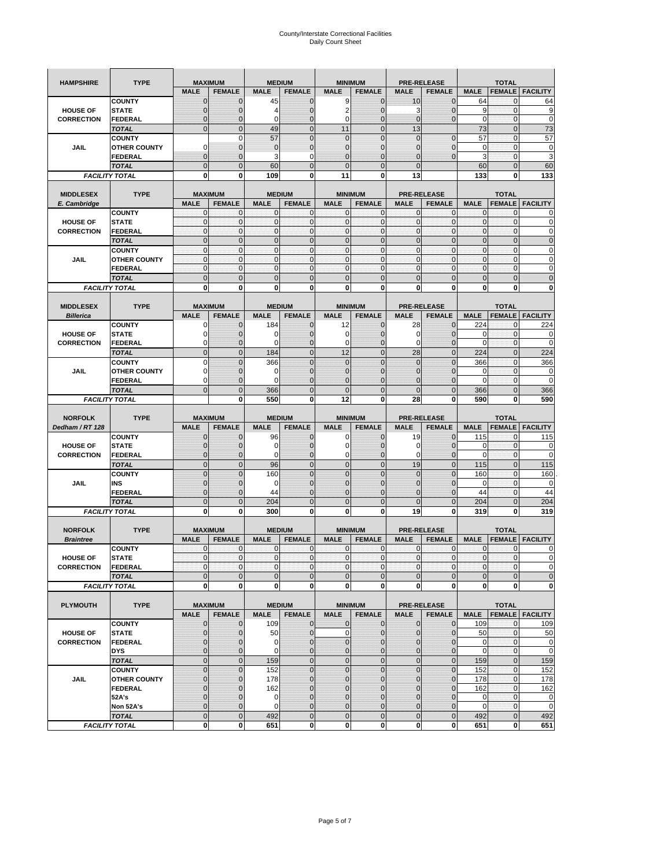| <b>HAMPSHIRE</b>  | <b>TYPE</b>                           |                            | <b>MAXIMUM</b>           |                             | <b>MEDIUM</b>    |                            | <b>MINIMUM</b>               |                  | <b>PRE-RELEASE</b>      |                             | <b>TOTAL</b>             |                          |
|-------------------|---------------------------------------|----------------------------|--------------------------|-----------------------------|------------------|----------------------------|------------------------------|------------------|-------------------------|-----------------------------|--------------------------|--------------------------|
|                   |                                       | <b>MALE</b>                | <b>FEMALE</b>            | <b>MALE</b>                 | <b>FEMALE</b>    | <b>MALE</b>                | <b>FEMALE</b>                | <b>MALE</b>      | <b>FEMALE</b>           | <b>MALE</b>                 | <b>FEMALE</b>            | <b>FACILITY</b>          |
|                   | <b>COUNTY</b>                         | $\mathbf 0$                | $\mathbf 0$              | 45                          | $\mathbf 0$      | 9                          | $\mathbf 0$                  | 10               | $\mathbf 0$             | 64                          | $\mathbf{0}$             | 64                       |
| <b>HOUSE OF</b>   | <b>STATE</b>                          | $\mathbf{0}$               | $\overline{0}$           | 4                           | $\mathbf 0$      | $\overline{2}$             | $\overline{0}$               | 3                | $\overline{0}$          | 9                           | $\mathbf 0$              | 9                        |
| <b>CORRECTION</b> | <b>FEDERAL</b>                        | $\mathbf{0}$               | 0                        | 0                           | $\mathbf 0$      | $\mathbf 0$                | $\mathbf 0$                  | $\mathbf 0$      | $\overline{0}$          | $\mathbf 0$                 | $\mathbf 0$              | $\mathbf 0$              |
|                   | <b>TOTAL</b>                          | $\mathbf{0}$               | $\overline{0}$           | 49                          | $\mathbf{0}$     | 11                         | $\mathbf{0}$                 | 13               |                         | 73                          | $\mathbf{0}$             | 73                       |
|                   | <b>COUNTY</b>                         |                            | $\mathbf 0$              | 57                          | $\overline{0}$   | $\mathbf 0$                | $\overline{0}$               | $\mathbf{0}$     | $\overline{0}$          | 57                          | $\mathbf{0}$             | 57                       |
| JAIL              | <b>OTHER COUNTY</b>                   | $\Omega$                   | 0                        | $\mathbf 0$                 | $\mathbf 0$      | $\mathbf 0$                | $\overline{0}$               | 0                | $\mathbf 0$             | 0                           | $\mathbf 0$              | 0                        |
|                   | FEDERAL                               | $\mathbf{0}$               | $\overline{0}$           | 3                           | 0                | $\overline{0}$             | $\mathbf{0}$                 | $\overline{0}$   | $\mathbf 0$             | 3                           | $\mathbf{0}$             | 3                        |
|                   | <b>TOTAL</b>                          | $\mathbf{0}$               | $\mathbf 0$              | 60                          | $\mathbf 0$      | $\overline{0}$             | $\mathbf 0$                  | $\mathbf{0}$     |                         | 60                          | $\mathbf 0$              | 60                       |
|                   | <b>FACILITY TOTAL</b>                 | 0                          | 0                        | 109                         | 0                | 11                         | 0                            | 13               |                         | 133                         | 0                        | 133                      |
|                   |                                       |                            |                          |                             |                  |                            |                              |                  |                         |                             |                          |                          |
| <b>MIDDLESEX</b>  | <b>TYPE</b>                           |                            | <b>MAXIMUM</b>           |                             | <b>MEDIUM</b>    |                            | <b>MINIMUM</b>               |                  | <b>PRE-RELEASE</b>      |                             | <b>TOTAL</b>             |                          |
| E. Cambridge      |                                       | <b>MALE</b>                | <b>FEMALE</b>            | <b>MALE</b>                 | <b>FEMALE</b>    | <b>MALE</b>                | <b>FEMALE</b>                | <b>MALE</b>      | <b>FEMALE</b>           | <b>MALE</b>                 | <b>FEMALE</b>            | <b>FACILITY</b>          |
| <b>HOUSE OF</b>   | <b>COUNTY</b><br><b>STATE</b>         | 0<br>$\pmb{0}$             | 0<br>0                   | $\mathbf 0$<br>$\mathbf{0}$ | 0<br>$\mathbf 0$ | 0<br>$\mathbf 0$           | $\mathbf{0}$<br>$\mathbf 0$  | 0<br>$\mathbf 0$ | 0<br>$\mathbf 0$        | 0<br>$\pmb{0}$              | 0<br>$\mathbf 0$         | 0<br>0                   |
| <b>CORRECTION</b> | <b>FEDERAL</b>                        | $\mathbf{0}$               | $\mathbf 0$              | $\mathbf 0$                 | $\mathbf 0$      | $\mathbf 0$                | $\mathbf{0}$                 | $\mathbf 0$      | $\mathbf 0$             | $\mathbf{0}$                | $\mathbf 0$              | $\mathbf 0$              |
|                   | <b>TOTAL</b>                          | $\Omega$                   | $\mathbf 0$              | $\mathbf{0}$                | $\mathbf 0$      | $\mathbf 0$                | $\mathbf 0$                  | $\mathbf{0}$     | $\overline{0}$          | $\pmb{0}$                   | $\mathbf 0$              | $\mathbf 0$              |
|                   | <b>COUNTY</b>                         | $\mathbf{0}$               | $\mathbf{0}$             | $\mathbf{0}$                | $\mathbf 0$      | $\mathbf{0}$               | $\mathbf{0}$                 | $\mathbf{0}$     | $\mathbf 0$             | $\mathbf{0}$                | $\mathbf{0}$             | 0                        |
| JAIL              | <b>OTHER COUNTY</b>                   | 0                          | 0                        | $\mathbf 0$                 | 0                | $\mathbf{0}$               | $\overline{0}$               | $\mathbf{0}$     | 0                       | $\pmb{0}$                   | 0                        | 0                        |
|                   | <b>FEDERAL</b>                        | $\mathbf{0}$               | $\mathbf{0}$             | $\mathbf 0$                 | $\mathbf 0$      | $\mathbf{0}$               | $\overline{0}$               | $\mathbf{0}$     | $\mathbf 0$             | $\mathbf{0}$                | $\mathbf{0}$             | 0                        |
|                   | <b>TOTAL</b>                          | $\mathbf 0$                | $\overline{0}$           | $\overline{0}$              | $\overline{0}$   | $\overline{0}$             | $\overline{0}$               | $\overline{0}$   | $\overline{0}$          | $\mathbf{0}$                | $\overline{0}$           | $\overline{0}$           |
|                   | <b>FACILITY TOTAL</b>                 | 0                          | 0                        | 0                           | 0                | 0                          | 0                            | 0                | 0                       | 0                           | 0                        | 0                        |
|                   |                                       |                            |                          |                             |                  |                            |                              |                  |                         |                             |                          |                          |
| <b>MIDDLESEX</b>  | <b>TYPE</b>                           |                            | <b>MAXIMUM</b>           |                             | <b>MEDIUM</b>    |                            | <b>MINIMUM</b>               |                  | <b>PRE-RELEASE</b>      |                             | <b>TOTAL</b>             |                          |
| <b>Billerica</b>  |                                       | <b>MALE</b>                | <b>FEMALE</b>            | <b>MALE</b>                 | <b>FEMALE</b>    | <b>MALE</b>                | <b>FEMALE</b>                | <b>MALE</b>      | <b>FEMALE</b>           | <b>MALE</b>                 | <b>FEMALE</b>            | <b>FACILITY</b>          |
|                   | <b>COUNTY</b>                         | 0                          | $\mathbf 0$              | 184                         | 0                | 12                         | $\mathbf{0}$                 | 28               | $\mathbf 0$             | 224                         | 0                        | 224                      |
| <b>HOUSE OF</b>   | <b>STATE</b>                          | 0                          | $\mathbf 0$              | 0                           | $\mathbf 0$      | 0                          | 0                            | 0                | $\mathbf 0$             | 0                           | $\mathbf 0$              | 0                        |
| <b>CORRECTION</b> | <b>FEDERAL</b>                        | 0                          | $\mathbf{0}$             | 0                           | 0                | 0                          | $\mathbf{0}$                 | 0                | $\mathbf 0$             | 0                           | 0                        | $\mathbf 0$              |
|                   | <b>TOTAL</b>                          | $\mathbf{0}$               | $\mathbf 0$              | 184                         | $\mathbf 0$      | 12                         | $\overline{0}$               | 28               | $\overline{0}$          | 224                         | $\mathbf{0}$             | 224                      |
|                   | <b>COUNTY</b>                         | $\Omega$                   | $\overline{0}$           | 366                         | $\overline{0}$   | $\overline{0}$             | $\Omega$                     | $\overline{0}$   | $\Omega$                | 366                         | $\mathbf 0$              | 366                      |
| JAIL              | <b>OTHER COUNTY</b>                   | 0                          | $\mathbf 0$              | $\mathbf 0$                 | $\mathbf{0}$     | $\mathbf{0}$               | $\mathbf{0}$                 | $\mathbf{0}$     | $\overline{0}$          | 0                           | 0                        | 0                        |
|                   | <b>FEDERAL</b>                        | $\Omega$                   | $\mathbf 0$              | $\Omega$                    | $\mathbf 0$      | $\mathbf 0$                | $\mathbf 0$                  | 0                | $\mathbf 0$             | $\Omega$                    | $\mathbf 0$              | $\mathbf 0$              |
|                   | <b>TOTAL</b>                          | $\mathbf 0$                | $\overline{0}$           | 366                         | $\overline{0}$   | $\overline{0}$             | $\overline{0}$               | $\overline{0}$   | $\overline{0}$          | 366                         | $\overline{0}$           | 366                      |
|                   | <b>FACILITY TOTAL</b>                 |                            | 0                        | 550                         | 0                | 12                         | $\mathbf 0$                  | 28               | 0                       | 590                         | 0                        | 590                      |
|                   |                                       |                            |                          |                             |                  |                            |                              |                  |                         |                             |                          |                          |
|                   |                                       |                            |                          |                             |                  |                            |                              |                  |                         |                             |                          |                          |
| <b>NORFOLK</b>    | <b>TYPE</b>                           |                            | <b>MAXIMUM</b>           |                             | <b>MEDIUM</b>    |                            | <b>MINIMUM</b>               |                  | <b>PRE-RELEASE</b>      |                             | <b>TOTAL</b>             |                          |
| Dedham / RT 128   |                                       | <b>MALE</b>                | <b>FEMALE</b>            | <b>MALE</b>                 | <b>FEMALE</b>    | <b>MALE</b>                | <b>FEMALE</b>                | <b>MALE</b>      | <b>FEMALE</b>           | <b>MALE</b>                 | <b>FEMALE</b>            | <b>FACILITY</b>          |
|                   | <b>COUNTY</b>                         | 0                          | $\mathbf 0$              | 96                          | 0                | 0                          | $\mathbf{0}$                 | 19               | 0                       | 115                         | 0                        | 115                      |
| <b>HOUSE OF</b>   | <b>STATE</b>                          | $\mathbf{0}$               | $\mathbf 0$              | $\mathbf 0$                 | $\mathbf{0}$     | 0                          | $\mathbf{0}$                 | 0                | $\mathbf 0$             | 0                           | $\mathbf 0$              | 0                        |
| <b>CORRECTION</b> | FEDERAL                               | $\mathbf{0}$               | 0                        | 0                           | 0                | 0                          | $\overline{0}$               | 0                | 0                       | $\mathbf 0$                 | $\mathbf 0$              | 0                        |
|                   | <b>TOTAL</b>                          | $\pmb{0}$                  | $\mathbf 0$              | 96                          | $\mathbf 0$      | $\mathbf 0$                | $\overline{0}$               | 19               | $\mathbf 0$             | 115                         | $\mathbf 0$              | 115                      |
|                   | <b>COUNTY</b>                         | $\Omega$                   | $\overline{0}$           | 160                         | $\overline{0}$   | $\overline{0}$             | $\Omega$                     | $\mathbf 0$      | $\overline{0}$          | 160                         | 0                        | 160                      |
| JAIL              | INS                                   | $\mathbf{0}$               | 0                        | 0                           | $\mathbf{0}$     | $\mathbf 0$                | $\mathbf{0}$                 | 0                | $\mathbf 0$             | 0                           | 0                        | $\mathbf 0$              |
|                   | <b>FEDERAL</b>                        | $\mathbf{0}$               | $\mathbf 0$              | 44                          | $\mathbf 0$      | $\overline{0}$             | $\Omega$                     | $\mathbf 0$      | $\mathbf 0$             | 44                          | $\mathbf 0$              | 44                       |
|                   | <b>TOTAL</b>                          | $\mathbf 0$                | $\overline{0}$           | 204                         | $\overline{0}$   | $\overline{0}$             | $\overline{0}$               | $\overline{0}$   | $\overline{0}$          | 204                         | $\mathbf{0}$             | 204                      |
|                   | <b>FACILITY TOTAL</b>                 | 0                          | 0                        | 300                         | 0                | 0                          | 0                            | 19               | 0                       | 319                         | 0                        | 319                      |
|                   |                                       |                            |                          |                             |                  |                            |                              |                  |                         |                             |                          |                          |
| <b>NORFOLK</b>    | <b>TYPE</b>                           |                            | <b>MAXIMUM</b>           |                             | <b>MEDIUM</b>    |                            | <b>MINIMUM</b>               |                  | <b>PRE-RELEASE</b>      |                             | <b>TOTAL</b>             |                          |
| <b>Braintree</b>  |                                       | <b>MALE</b>                | <b>FEMALE</b>            | <b>MALE</b>                 | <b>FEMALE</b>    | <b>MALE</b>                | <b>FEMALE</b>                | <b>MALE</b>      | <b>FEMALE</b>           | <b>MALE</b>                 | <b>FEMALE</b>            | <b>FACILITY</b>          |
|                   | <b>COUNTY</b>                         | $\mathbf{0}$<br>$\Omega$   | $\mathbf{0}$<br>$\Omega$ | $\mathbf 0$<br>$\Omega$     | 0                | 0<br>$\Omega$              | $\mathbf{0}$<br>$\Omega$     | 0                | $\mathbf 0$<br>$\Omega$ | $\mathbf 0$<br>$\Omega$     | 0<br>$\Omega$            | 0<br>$\Omega$            |
| <b>HOUSE OF</b>   | <b>STATE</b>                          |                            |                          |                             | $\overline{0}$   |                            |                              | $\mathbf{0}$     |                         |                             |                          |                          |
| <b>CORRECTION</b> | FEDERAL                               | $\mathbf 0$                | 0                        | $\mathbf 0$                 | $\mathbf 0$      | $\mathbf 0$                | $\overline{0}$               | $\mathbf 0$      | $\mathbf 0$             | $\overline{0}$              | $\mathbf 0$              | $\mathbf 0$              |
|                   | <b>TOTAL</b><br><b>FACILITY TOTAL</b> | $\mathbf 0$<br>$\mathbf 0$ | $\overline{0}$<br>0      | $\mathbf{0}$<br>0           | $\mathbf 0$<br>0 | $\mathbf 0$<br>$\mathbf 0$ | $\mathbf 0$<br><sub>0</sub>  | $\mathbf 0$<br>0 | $\mathbf 0$<br>0        | $\mathbf 0$<br>$\mathbf{0}$ | $\pmb{0}$<br>$\mathbf 0$ | 0                        |
|                   |                                       |                            |                          |                             |                  |                            |                              |                  |                         |                             |                          | $\mathbf 0$              |
| <b>PLYMOUTH</b>   | <b>TYPE</b>                           |                            | <b>MAXIMUM</b>           |                             | <b>MEDIUM</b>    |                            | <b>MINIMUM</b>               |                  | <b>PRE-RELEASE</b>      |                             | <b>TOTAL</b>             |                          |
|                   |                                       | <b>MALE</b>                | <b>FEMALE</b>            | <b>MALE</b>                 | <b>FEMALE</b>    | <b>MALE</b>                | <b>FEMALE</b>                | <b>MALE</b>      | <b>FEMALE</b>           | <b>MALE</b>                 |                          | <b>FEMALE   FACILITY</b> |
|                   | <b>COUNTY</b>                         | $\mathbf{0}$               | 0                        | 109                         | $\mathbf{0}$     | 0                          | $\mathbf{O}$                 | $\mathbf 0$      | $\mathbf{0}$            | 109                         | $\mathbf 0$              | 109                      |
| <b>HOUSE OF</b>   | <b>STATE</b>                          | $\mathbf{0}$               | $\mathbf 0$              | 50                          | $\mathbf 0$      | $\mathbf 0$                | $\mathbf{0}$                 | $\mathbf{0}$     | $\overline{0}$          | 50                          | $\mathbf 0$              | 50                       |
| <b>CORRECTION</b> | <b>FEDERAL</b>                        | $\mathbf 0$                | $\mathbf{0}$             | 0                           | $\pmb{0}$        | $\mathbf 0$                | $\mathbf{0}$                 | 0                | $\mathbf 0$             | 0                           | $\mathbf 0$              | $\mathbf 0$              |
|                   | <b>DYS</b>                            | $\mathbf{0}$               | $\mathbf{0}$             | 0                           | $\mathbf{0}$     | $\mathbf 0$                | $\mathbf{0}$                 | $\mathbf 0$      | $\overline{0}$          | $\mathbf 0$                 | $\mathbf{O}$             | $\mathbf 0$              |
|                   | <b>TOTAL</b>                          | $\mathbf 0$                | $\mathbf 0$              | 159                         | $\mathbf 0$      | $\mathbf 0$                | $\mathbf 0$                  | $\mathbf 0$      | $\pmb{0}$               | 159                         | $\mathbf{0}$             | 159                      |
|                   | <b>COUNTY</b>                         | $\mathbf{0}$               | $\mathbf 0$              | 152                         | $\mathbf 0$      | $\mathbf 0$                | $\overline{0}$               | $\mathbf 0$      | $\mathbf 0$             | 152                         | $\mathbf 0$              | 152                      |
| JAIL              | <b>OTHER COUNTY</b>                   | $\mathbf{0}$               | 0                        | 178                         | $\mathbf 0$      | $\mathbf 0$                | $\mathbf{0}$                 | 0                | $\mathbf{0}$            | 178                         | $\mathbf 0$              | 178                      |
|                   | <b>FEDERAL</b>                        | $\mathbf{0}$               | $\mathbf{0}$             | 162                         | 0                | $\mathbf 0$                | $\overline{0}$               | $\mathbf 0$      | $\overline{0}$          | 162                         | $\mathbf 0$              | 162                      |
|                   | 52A's                                 | $\mathbf{0}$               | $\mathbf{0}$             | 0                           | $\mathbf{0}$     | $\mathbf 0$                | $\overline{0}$               | 0                | $\mathbf 0$             | $\mathbf 0$                 | $\mathbf{O}$             | $\mathbf 0$              |
|                   | Non 52A's                             | $\mathbf{0}$               | $\mathbf{0}$             | $\mathbf 0$                 | $\mathbf{0}$     | $\mathbf 0$                | $\overline{0}$               | $\mathbf 0$      | 0                       | $\mathbf 0$                 | $\mathbf 0$              | $\mathbf 0$              |
|                   | <b>TOTAL</b><br><b>FACILITY TOTAL</b> | $\mathbf 0$<br>0           | $\mathbf 0$<br>0         | 492<br>651                  | $\mathbf 0$<br>0 | $\mathbf 0$<br>$\mathbf 0$ | $\mathbf{0}$<br>$\mathbf{0}$ | $\mathbf 0$<br>0 | $\pmb{0}$<br>$\pmb{0}$  | 492<br>651                  | $\mathbf 0$<br>$\bf{0}$  | 492<br>651               |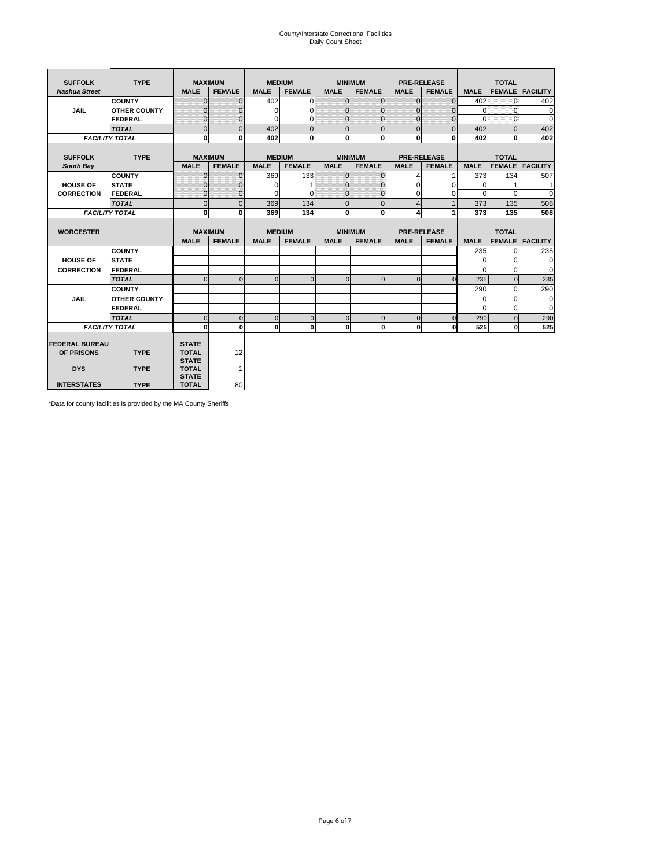# County/Interstate Correctional Facilities Daily Count Sheet

| <b>SUFFOLK</b>        | <b>TYPE</b>           |                              | <b>MAXIMUM</b> |             | <b>MEDIUM</b> |                | <b>MINIMUM</b> |                | <b>PRE-RELEASE</b> |             | <b>TOTAL</b>  |                 |
|-----------------------|-----------------------|------------------------------|----------------|-------------|---------------|----------------|----------------|----------------|--------------------|-------------|---------------|-----------------|
| <b>Nashua Street</b>  |                       | <b>MALE</b>                  | <b>FEMALE</b>  | <b>MALE</b> | <b>FEMALE</b> | <b>MALE</b>    | <b>FEMALE</b>  | <b>MALE</b>    | <b>FEMALE</b>      | <b>MALE</b> | <b>FEMALE</b> | <b>FACILITY</b> |
|                       | <b>COUNTY</b>         | $\Omega$                     | $\mathbf{0}$   | 402         | $\Omega$      | $\mathbf{0}$   | $\Omega$       | $\mathbf{0}$   | $\Omega$           | 402         | $\Omega$      | 402             |
| JAIL                  | <b>OTHER COUNTY</b>   | $\Omega$                     | $\Omega$       | $\Omega$    | 0             | $\Omega$       | $\Omega$       | $\Omega$       | $\Omega$           | $\Omega$    | $\Omega$      | 0               |
|                       | <b>FEDERAL</b>        | $\mathbf{0}$                 | $\mathbf{0}$   | 0           | 0             | $\mathbf{0}$   | $\mathbf{0}$   | $\mathbf 0$    | $\mathbf{0}$       | $\Omega$    | 0             | 0               |
|                       | <b>TOTAL</b>          | $\Omega$                     | $\Omega$       | 402         | $\Omega$      | $\overline{0}$ | $\Omega$       | $\Omega$       | $\Omega$           | 402         | $\Omega$      | 402             |
|                       | <b>FACILITY TOTAL</b> | 0                            | $\mathbf{0}$   | 402         | $\bf{0}$      | $\mathbf{0}$   | $\bf{0}$       | $\mathbf{0}$   | 0                  | 402         | 0             | 402             |
|                       |                       |                              |                |             |               |                |                |                |                    |             |               |                 |
| <b>SUFFOLK</b>        | <b>TYPE</b>           |                              | <b>MAXIMUM</b> |             | <b>MEDIUM</b> |                | <b>MINIMUM</b> |                | <b>PRE-RELEASE</b> |             | <b>TOTAL</b>  |                 |
| South Bay             |                       | <b>MALE</b>                  | <b>FEMALE</b>  | <b>MALE</b> | <b>FEMALE</b> | <b>MALE</b>    | <b>FEMALE</b>  | <b>MALE</b>    | <b>FEMALE</b>      | <b>MALE</b> | <b>FEMALE</b> | <b>FACILITY</b> |
|                       | <b>COUNTY</b>         | $\Omega$                     | $\mathbf{0}$   | 369         | 133           | $\mathbf{0}$   | $\mathbf{0}$   | 4              |                    | 373         | 134           | 507             |
| <b>HOUSE OF</b>       | <b>STATE</b>          |                              | $\overline{0}$ | $\Omega$    |               | $\Omega$       | O              | $\Omega$       | $\Omega$           | $\Omega$    |               | 1               |
| <b>CORRECTION</b>     | <b>FEDERAL</b>        | $\Omega$                     | $\overline{0}$ | 0           | $\Omega$      | $\mathbf{0}$   | $\mathbf{0}$   | $\Omega$       | 0                  | $\Omega$    | $\Omega$      | $\Omega$        |
|                       | <b>TOTAL</b>          | $\Omega$                     | $\overline{0}$ | 369         | 134           | $\mathbf 0$    | $\mathbf{0}$   | $\overline{4}$ | $\mathbf{1}$       | 373         | 135           | 508             |
|                       | <b>FACILITY TOTAL</b> | 0                            | 0              | 369         | 134           | $\mathbf{0}$   | 0              | 4              | 1                  | 373         | 135           | 508             |
|                       |                       |                              |                |             |               |                |                |                |                    |             |               |                 |
| <b>WORCESTER</b>      |                       |                              | <b>MAXIMUM</b> |             | <b>MEDIUM</b> |                | <b>MINIMUM</b> |                | <b>PRE-RELEASE</b> |             | <b>TOTAL</b>  |                 |
|                       |                       | <b>MALE</b>                  | <b>FEMALE</b>  | <b>MALE</b> | <b>FEMALE</b> | <b>MALE</b>    | <b>FEMALE</b>  | <b>MALE</b>    | <b>FEMALE</b>      | <b>MALE</b> | <b>FEMALE</b> | <b>FACILITY</b> |
|                       | <b>COUNTY</b>         |                              |                |             |               |                |                |                |                    | 235         | $\Omega$      | 235             |
| <b>HOUSE OF</b>       | <b>STATE</b>          |                              |                |             |               |                |                |                |                    | 0           | 0             | 0               |
| <b>CORRECTION</b>     | FEDERAL               |                              |                |             |               |                |                |                |                    | $\Omega$    | $\Omega$      | 0               |
|                       | <b>TOTAL</b>          | $\Omega$                     | $\mathbf{0}$   | $\Omega$    | $\mathbf 0$   | $\mathbf{0}$   | $\mathbf{0}$   | $\mathbf{0}$   | $\Omega$           | 235         | $\mathbf{0}$  | 235             |
|                       | <b>COUNTY</b>         |                              |                |             |               |                |                |                |                    | 290         | $\Omega$      | 290             |
| <b>JAIL</b>           | <b>OTHER COUNTY</b>   |                              |                |             |               |                |                |                |                    | $\Omega$    | $\Omega$      | 0               |
|                       | FEDERAL               |                              |                |             |               |                |                |                |                    | $\Omega$    | $\Omega$      | $\mathbf 0$     |
|                       | <b>TOTAL</b>          | $\cap$                       | $\Omega$       | $\Omega$    | $\mathbf{0}$  | $\mathbf{0}$   | $\Omega$       | $\Omega$       | $\Omega$           | 290         | $\Omega$      | 290             |
|                       | <b>FACILITY TOTAL</b> | $\Omega$                     | 0              | $\Omega$    | 0             | $\mathbf{0}$   | $\bf{0}$       | $\mathbf 0$    | 0                  | 525         | O             | 525             |
|                       |                       |                              |                |             |               |                |                |                |                    |             |               |                 |
| <b>FEDERAL BUREAU</b> |                       | <b>STATE</b>                 |                |             |               |                |                |                |                    |             |               |                 |
| OF PRISONS            | <b>TYPE</b>           | <b>TOTAL</b><br><b>STATE</b> | 12             |             |               |                |                |                |                    |             |               |                 |
| <b>DYS</b>            |                       |                              |                |             |               |                |                |                |                    |             |               |                 |
|                       |                       |                              |                |             |               |                |                |                |                    |             |               |                 |
|                       | <b>TYPE</b>           | <b>TOTAL</b><br><b>STATE</b> | $\mathbf{1}$   |             |               |                |                |                |                    |             |               |                 |

\*Data for county facilities is provided by the MA County Sheriffs.